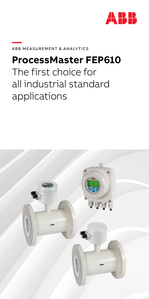

#### **—**ABB Measu rement & Analytics

### **ProcessMaster FEP610**

# The first choice for all industrial standard applications

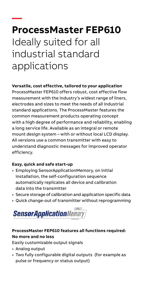## **— ProcessMaster FEP610**  Ideally suited for all industrial standard applications

#### **Versatile, cost effective, tailored to your application**

ProcessMaster FEP610 offers robust, cost effective flow measurement with the industry's widest range of liners, electrodes and sizes to meet the needs of all industrial standard applications. The ProcessMaster features the common measurement products operating concept with a high degree of performance and reliability, enabling a long service life. Available as an integral or remote mount design system – with or without local LCD display. All versions use a common transmitter with easy to understand diagnostic messages for improved operator efficiency.

#### **Easy, quick and safe start-up**

- Employing SensorApplicationMemory, on initial installation, the self-configuration sequence automatically replicates all device and calibration data into the transmitter
- Secure storage of calibration and application specific data
- Quick change-out of transmitter without reprogramming



### **ProcessMaster FEP610 features all functions required: No more and no less**

Easily customizable output signals

- Analog output
- Two fully configurable digital outputs (for example as pulse or frequency or status output)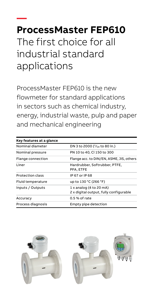## **— ProcessMaster FEP610**  The first choice for all industrial standard applications

ProcessMaster FEP610 is the new flowmeter for standard applications in sectors such as chemical industry, energy, industrial waste, pulp and paper and mechanical engineering

| Key features at a glance |                                                                   |
|--------------------------|-------------------------------------------------------------------|
| Nominal diameter         | DN 3 to 2000 ( $\frac{1}{10}$ to 80 in.)                          |
| Nominal pressure         | PN 10 to 40, Cl 150 to 300                                        |
| Flange connection        | Flange acc. to DIN/EN, ASME, JIS, others                          |
| l iner                   | Hardrubber, Softrubber, PTFE,<br>PFA, ETFE                        |
| <b>Protection class</b>  | IP 67 or IP 68                                                    |
| Fluid temperature        | up to 130 °C (266 °F)                                             |
| Inputs / Outputs         | 1 x analog (4 to 20 mA)<br>2 x digital output, fully configurable |
| Accuracy                 | $0.5%$ of rate                                                    |
| Process diagnosis        | Empty pipe detection                                              |

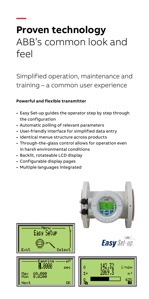### **— Proven technology**  ABB's common look and feel

Simplified operation, maintenance and training – a common user experience

#### **Powerful and flexible transmitter**

- Easy Set-up guides the operator step by step through the configuration
- Automatic polling of relevant parameters
- User-friendly interface for simplified data entry
- Identical menue structure across products
- Through-the-glass control allows for operation even in harsh environmental conditions
- Backlit, rotateable LCD display
- Configurable display pages
- Multiple languages integrated

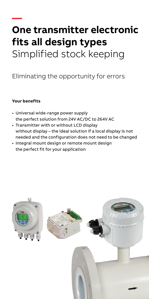# **— One transmitter electronic fits all design types**  Simplified stock keeping

### Eliminating the opportunity for errors

#### **Your benefits**

- Universal wide-range power supply the perfect solution from 24V AC/DC to 264V AC
- Transmitter with or without LCD display without display – the ideal solution if a local display is not needed and the configuration does not need to be changed
- Integral mount design or remote mount design the perfect fit for your application

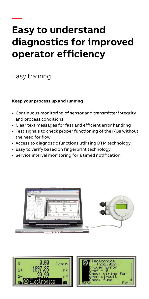### **— Easy to understand diagnostics for improved operator efficiency**

Easy training

#### **Keep your process up and running**

- Continuous monitoring of sensor and transmitter integrity and process conditions
- Clear text messages for fast and efficient error handling
- Test signals to check proper functioning of the I/Os without the need for flow
- Access to diagnostic functions utilizing DTM technology
- Easy to verify based on fingerprint technology
- Service interval monitoring for a timed notification





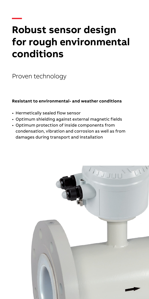### **— Robust sensor design for rough environmental conditions**

Proven technology

#### **Resistant to environmental- and weather conditions**

- Hermetically sealed flow sensor
- Optimum shielding against external magnetic fields
- Optimum protection of inside components from condensation, vibration and corrosion as well as from damages during transport and installation